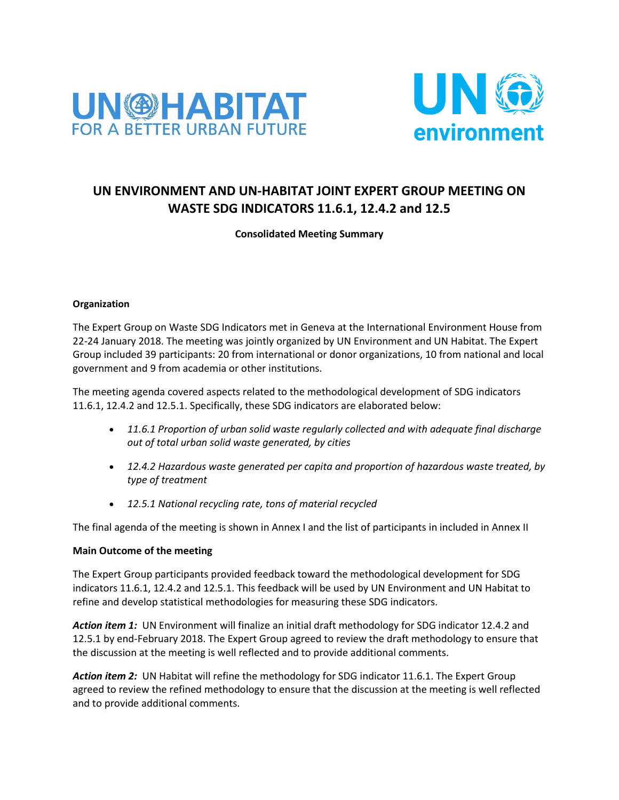



## **UN ENVIRONMENT AND UN-HABITAT JOINT EXPERT GROUP MEETING ON WASTE SDG INDICATORS 11.6.1, 12.4.2 and 12.5**

## **Consolidated Meeting Summary**

#### **Organization**

The Expert Group on Waste SDG Indicators met in Geneva at the International Environment House from 22-24 January 2018. The meeting was jointly organized by UN Environment and UN Habitat. The Expert Group included 39 participants: 20 from international or donor organizations, 10 from national and local government and 9 from academia or other institutions.

The meeting agenda covered aspects related to the methodological development of SDG indicators 11.6.1, 12.4.2 and 12.5.1. Specifically, these SDG indicators are elaborated below:

- *11.6.1 Proportion of urban solid waste regularly collected and with adequate final discharge out of total urban solid waste generated, by cities*
- *12.4.2 Hazardous waste generated per capita and proportion of hazardous waste treated, by type of treatment*
- *12.5.1 National recycling rate, tons of material recycled*

The final agenda of the meeting is shown in Annex I and the list of participants in included in Annex II

#### **Main Outcome of the meeting**

The Expert Group participants provided feedback toward the methodological development for SDG indicators 11.6.1, 12.4.2 and 12.5.1. This feedback will be used by UN Environment and UN Habitat to refine and develop statistical methodologies for measuring these SDG indicators.

*Action item 1:* UN Environment will finalize an initial draft methodology for SDG indicator 12.4.2 and 12.5.1 by end-February 2018. The Expert Group agreed to review the draft methodology to ensure that the discussion at the meeting is well reflected and to provide additional comments.

*Action item 2:* UN Habitat will refine the methodology for SDG indicator 11.6.1. The Expert Group agreed to review the refined methodology to ensure that the discussion at the meeting is well reflected and to provide additional comments.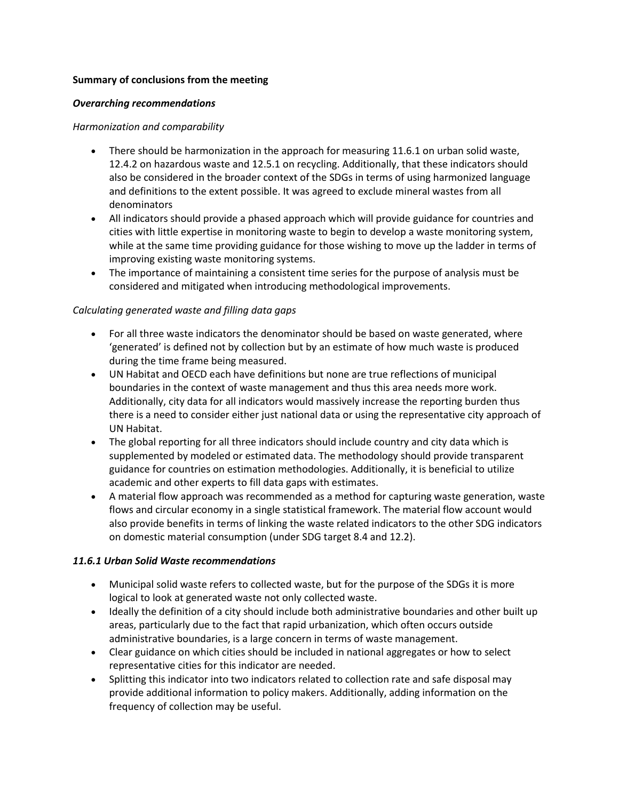#### **Summary of conclusions from the meeting**

#### *Overarching recommendations*

### *Harmonization and comparability*

- There should be harmonization in the approach for measuring 11.6.1 on urban solid waste, 12.4.2 on hazardous waste and 12.5.1 on recycling. Additionally, that these indicators should also be considered in the broader context of the SDGs in terms of using harmonized language and definitions to the extent possible. It was agreed to exclude mineral wastes from all denominators
- All indicators should provide a phased approach which will provide guidance for countries and cities with little expertise in monitoring waste to begin to develop a waste monitoring system, while at the same time providing guidance for those wishing to move up the ladder in terms of improving existing waste monitoring systems.
- The importance of maintaining a consistent time series for the purpose of analysis must be considered and mitigated when introducing methodological improvements.

## *Calculating generated waste and filling data gaps*

- For all three waste indicators the denominator should be based on waste generated, where 'generated' is defined not by collection but by an estimate of how much waste is produced during the time frame being measured.
- UN Habitat and OECD each have definitions but none are true reflections of municipal boundaries in the context of waste management and thus this area needs more work. Additionally, city data for all indicators would massively increase the reporting burden thus there is a need to consider either just national data or using the representative city approach of UN Habitat.
- The global reporting for all three indicators should include country and city data which is supplemented by modeled or estimated data. The methodology should provide transparent guidance for countries on estimation methodologies. Additionally, it is beneficial to utilize academic and other experts to fill data gaps with estimates.
- A material flow approach was recommended as a method for capturing waste generation, waste flows and circular economy in a single statistical framework. The material flow account would also provide benefits in terms of linking the waste related indicators to the other SDG indicators on domestic material consumption (under SDG target 8.4 and 12.2).

## *11.6.1 Urban Solid Waste recommendations*

- Municipal solid waste refers to collected waste, but for the purpose of the SDGs it is more logical to look at generated waste not only collected waste.
- Ideally the definition of a city should include both administrative boundaries and other built up areas, particularly due to the fact that rapid urbanization, which often occurs outside administrative boundaries, is a large concern in terms of waste management.
- Clear guidance on which cities should be included in national aggregates or how to select representative cities for this indicator are needed.
- Splitting this indicator into two indicators related to collection rate and safe disposal may provide additional information to policy makers. Additionally, adding information on the frequency of collection may be useful.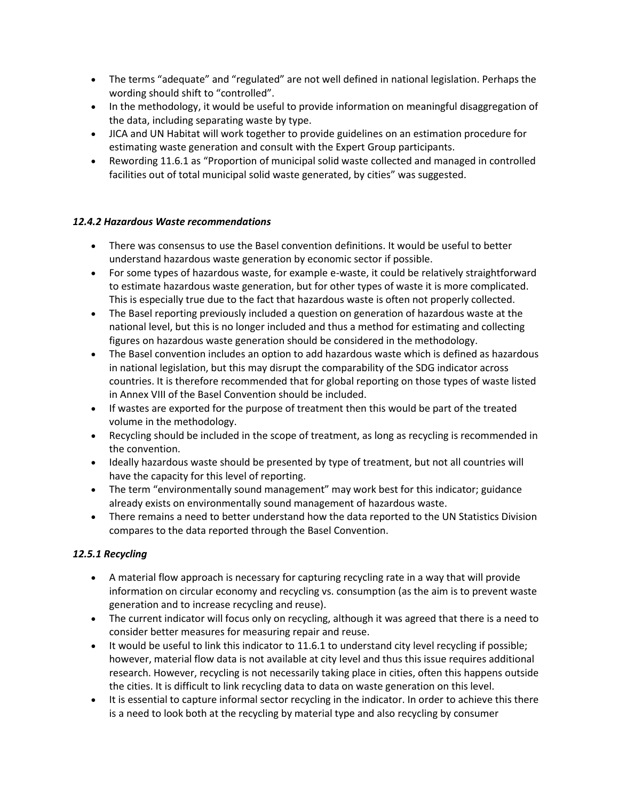- The terms "adequate" and "regulated" are not well defined in national legislation. Perhaps the wording should shift to "controlled".
- In the methodology, it would be useful to provide information on meaningful disaggregation of the data, including separating waste by type.
- JICA and UN Habitat will work together to provide guidelines on an estimation procedure for estimating waste generation and consult with the Expert Group participants.
- Rewording 11.6.1 as "Proportion of municipal solid waste collected and managed in controlled facilities out of total municipal solid waste generated, by cities" was suggested.

## *12.4.2 Hazardous Waste recommendations*

- There was consensus to use the Basel convention definitions. It would be useful to better understand hazardous waste generation by economic sector if possible.
- For some types of hazardous waste, for example e-waste, it could be relatively straightforward to estimate hazardous waste generation, but for other types of waste it is more complicated. This is especially true due to the fact that hazardous waste is often not properly collected.
- The Basel reporting previously included a question on generation of hazardous waste at the national level, but this is no longer included and thus a method for estimating and collecting figures on hazardous waste generation should be considered in the methodology.
- The Basel convention includes an option to add hazardous waste which is defined as hazardous in national legislation, but this may disrupt the comparability of the SDG indicator across countries. It is therefore recommended that for global reporting on those types of waste listed in Annex VIII of the Basel Convention should be included.
- If wastes are exported for the purpose of treatment then this would be part of the treated volume in the methodology.
- Recycling should be included in the scope of treatment, as long as recycling is recommended in the convention.
- Ideally hazardous waste should be presented by type of treatment, but not all countries will have the capacity for this level of reporting.
- The term "environmentally sound management" may work best for this indicator; guidance already exists on environmentally sound management of hazardous waste.
- There remains a need to better understand how the data reported to the UN Statistics Division compares to the data reported through the Basel Convention.

## *12.5.1 Recycling*

- A material flow approach is necessary for capturing recycling rate in a way that will provide information on circular economy and recycling vs. consumption (as the aim is to prevent waste generation and to increase recycling and reuse).
- The current indicator will focus only on recycling, although it was agreed that there is a need to consider better measures for measuring repair and reuse.
- $\bullet$  It would be useful to link this indicator to 11.6.1 to understand city level recycling if possible; however, material flow data is not available at city level and thus this issue requires additional research. However, recycling is not necessarily taking place in cities, often this happens outside the cities. It is difficult to link recycling data to data on waste generation on this level.
- It is essential to capture informal sector recycling in the indicator. In order to achieve this there is a need to look both at the recycling by material type and also recycling by consumer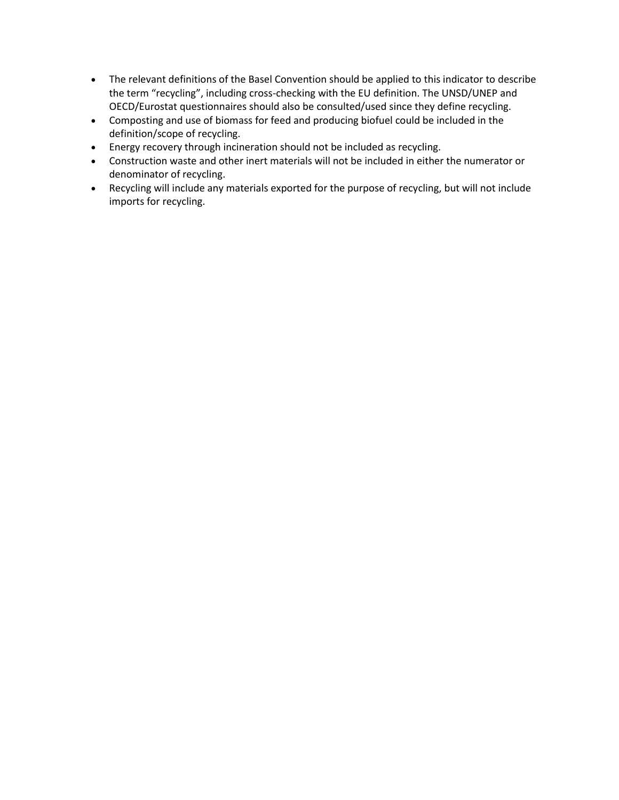- The relevant definitions of the Basel Convention should be applied to this indicator to describe the term "recycling", including cross-checking with the EU definition. The UNSD/UNEP and OECD/Eurostat questionnaires should also be consulted/used since they define recycling.
- Composting and use of biomass for feed and producing biofuel could be included in the definition/scope of recycling.
- Energy recovery through incineration should not be included as recycling.
- Construction waste and other inert materials will not be included in either the numerator or denominator of recycling.
- Recycling will include any materials exported for the purpose of recycling, but will not include imports for recycling.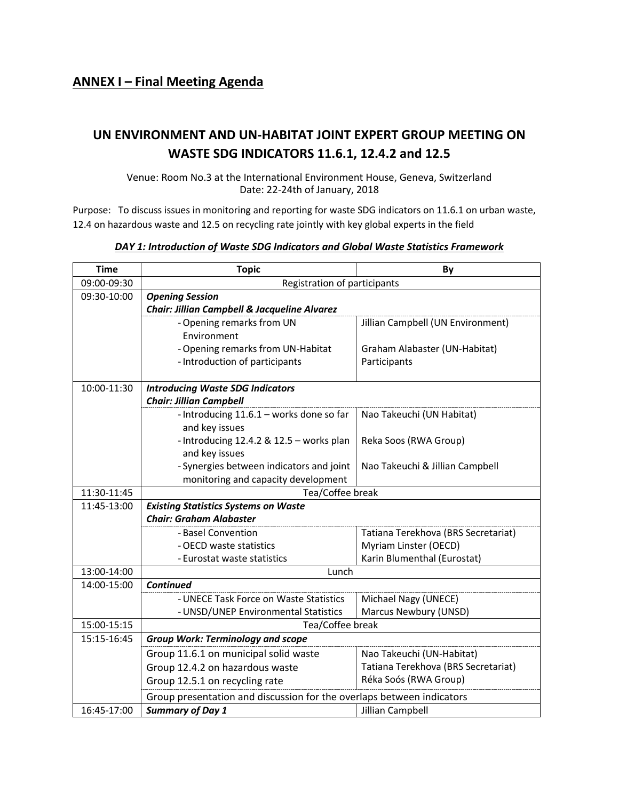# **UN ENVIRONMENT AND UN-HABITAT JOINT EXPERT GROUP MEETING ON WASTE SDG INDICATORS 11.6.1, 12.4.2 and 12.5**

Venue: Room No.3 at the International Environment House, Geneva, Switzerland Date: 22-24th of January, 2018

Purpose: To discuss issues in monitoring and reporting for waste SDG indicators on 11.6.1 on urban waste, 12.4 on hazardous waste and 12.5 on recycling rate jointly with key global experts in the field

| <b>Time</b> | <b>Topic</b>                                                          | By                                                   |  |
|-------------|-----------------------------------------------------------------------|------------------------------------------------------|--|
| 09:00-09:30 | Registration of participants                                          |                                                      |  |
| 09:30-10:00 | <b>Opening Session</b>                                                |                                                      |  |
|             | Chair: Jillian Campbell & Jacqueline Alvarez                          |                                                      |  |
|             | - Opening remarks from UN                                             | Jillian Campbell (UN Environment)                    |  |
|             | Environment                                                           |                                                      |  |
|             | - Opening remarks from UN-Habitat                                     | Graham Alabaster (UN-Habitat)                        |  |
|             | - Introduction of participants                                        | Participants                                         |  |
| 10:00-11:30 | <b>Introducing Waste SDG Indicators</b>                               |                                                      |  |
|             | <b>Chair: Jillian Campbell</b>                                        |                                                      |  |
|             | - Introducing 11.6.1 - works done so far                              | Nao Takeuchi (UN Habitat)                            |  |
|             | and key issues                                                        |                                                      |  |
|             | - Introducing 12.4.2 & 12.5 - works plan                              | Reka Soos (RWA Group)                                |  |
|             | and key issues                                                        |                                                      |  |
|             | - Synergies between indicators and joint                              | Nao Takeuchi & Jillian Campbell                      |  |
|             | monitoring and capacity development                                   |                                                      |  |
| 11:30-11:45 | Tea/Coffee break                                                      |                                                      |  |
| 11:45-13:00 | <b>Existing Statistics Systems on Waste</b>                           |                                                      |  |
|             | <b>Chair: Graham Alabaster</b>                                        |                                                      |  |
|             | - Basel Convention                                                    | Tatiana Terekhova (BRS Secretariat)                  |  |
|             | - OECD waste statistics<br>- Eurostat waste statistics                | Myriam Linster (OECD)<br>Karin Blumenthal (Eurostat) |  |
| 13:00-14:00 | Lunch                                                                 |                                                      |  |
| 14:00-15:00 | <b>Continued</b>                                                      |                                                      |  |
|             | - UNECE Task Force on Waste Statistics                                | Michael Nagy (UNECE)                                 |  |
|             | - UNSD/UNEP Environmental Statistics                                  | Marcus Newbury (UNSD)                                |  |
| 15:00-15:15 | Tea/Coffee break                                                      |                                                      |  |
| 15:15-16:45 | <b>Group Work: Terminology and scope</b>                              |                                                      |  |
|             | Group 11.6.1 on municipal solid waste                                 | Nao Takeuchi (UN-Habitat)                            |  |
|             | Group 12.4.2 on hazardous waste                                       | Tatiana Terekhova (BRS Secretariat)                  |  |
|             | Group 12.5.1 on recycling rate                                        | Réka Soós (RWA Group)                                |  |
|             | Group presentation and discussion for the overlaps between indicators |                                                      |  |
| 16:45-17:00 | <b>Summary of Day 1</b>                                               | Jillian Campbell                                     |  |

#### *DAY 1: Introduction of Waste SDG Indicators and Global Waste Statistics Framework*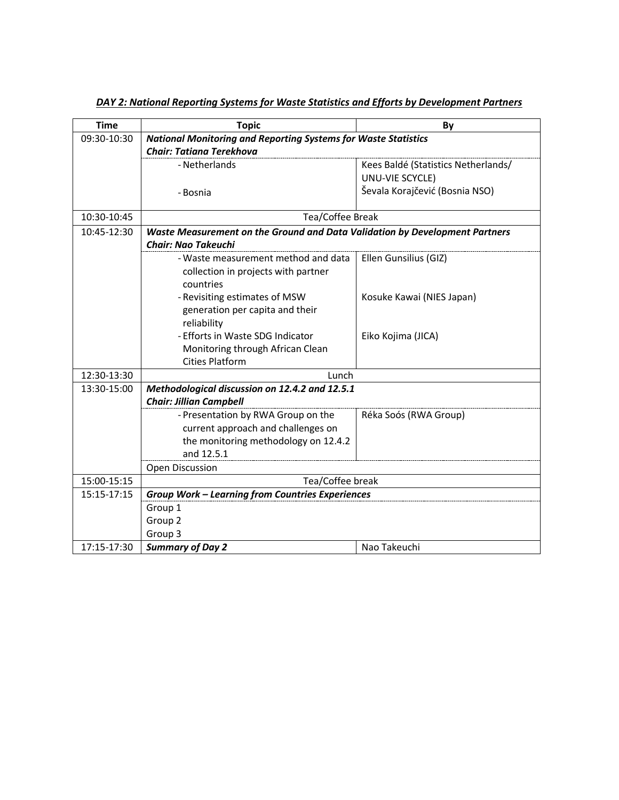| <b>Time</b> | <b>Topic</b>                                                                | By                                  |  |
|-------------|-----------------------------------------------------------------------------|-------------------------------------|--|
| 09:30-10:30 | <b>National Monitoring and Reporting Systems for Waste Statistics</b>       |                                     |  |
|             | Chair: Tatiana Terekhova                                                    |                                     |  |
|             | - Netherlands                                                               | Kees Baldé (Statistics Netherlands/ |  |
|             |                                                                             | UNU-VIE SCYCLE)                     |  |
|             | - Bosnia                                                                    | Ševala Korajčević (Bosnia NSO)      |  |
|             |                                                                             |                                     |  |
| 10:30-10:45 | Tea/Coffee Break                                                            |                                     |  |
| 10:45-12:30 | Waste Measurement on the Ground and Data Validation by Development Partners |                                     |  |
|             | <b>Chair: Nao Takeuchi</b>                                                  |                                     |  |
|             | - Waste measurement method and data                                         | Ellen Gunsilius (GIZ)               |  |
|             | collection in projects with partner                                         |                                     |  |
|             | countries                                                                   |                                     |  |
|             | - Revisiting estimates of MSW                                               | Kosuke Kawai (NIES Japan)           |  |
|             | generation per capita and their                                             |                                     |  |
|             | reliability                                                                 |                                     |  |
|             | - Efforts in Waste SDG Indicator                                            | Eiko Kojima (JICA)                  |  |
|             | Monitoring through African Clean                                            |                                     |  |
|             | <b>Cities Platform</b>                                                      |                                     |  |
| 12:30-13:30 | Lunch                                                                       |                                     |  |
| 13:30-15:00 | Methodological discussion on 12.4.2 and 12.5.1                              |                                     |  |
|             | <b>Chair: Jillian Campbell</b>                                              |                                     |  |
|             | - Presentation by RWA Group on the                                          | Réka Soós (RWA Group)               |  |
|             | current approach and challenges on                                          |                                     |  |
|             | the monitoring methodology on 12.4.2<br>and 12.5.1                          |                                     |  |
|             | Open Discussion                                                             |                                     |  |
| 15:00-15:15 | Tea/Coffee break                                                            |                                     |  |
| 15:15-17:15 |                                                                             |                                     |  |
|             | <b>Group Work - Learning from Countries Experiences</b>                     |                                     |  |
|             | Group 1                                                                     |                                     |  |
|             | Group <sub>2</sub><br>Group 3                                               |                                     |  |
|             |                                                                             |                                     |  |
| 17:15-17:30 | <b>Summary of Day 2</b>                                                     | Nao Takeuchi                        |  |

*DAY 2: National Reporting Systems for Waste Statistics and Efforts by Development Partners*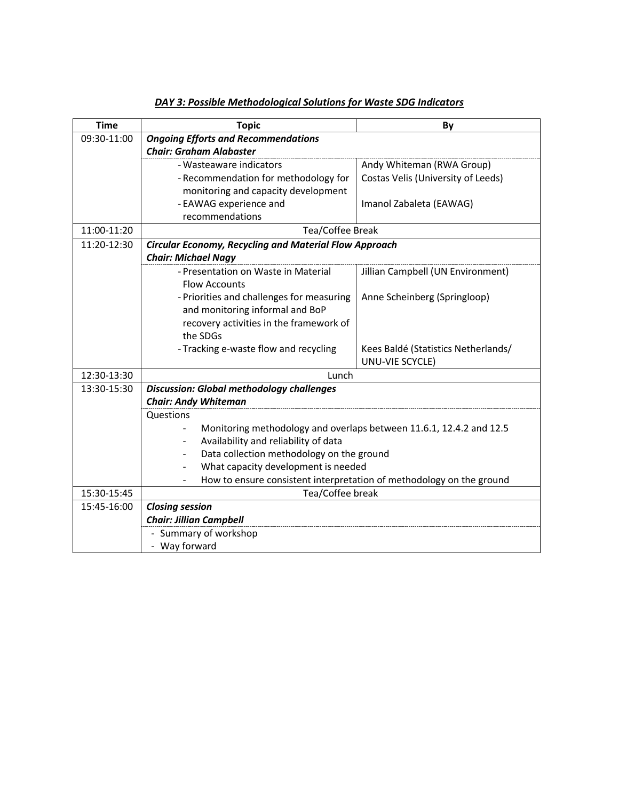| <b>Time</b> | <b>Topic</b>                                                         | By                                  |  |
|-------------|----------------------------------------------------------------------|-------------------------------------|--|
| 09:30-11:00 | <b>Ongoing Efforts and Recommendations</b>                           |                                     |  |
|             | <b>Chair: Graham Alabaster</b>                                       |                                     |  |
|             | - Wasteaware indicators                                              | Andy Whiteman (RWA Group)           |  |
|             | - Recommendation for methodology for                                 | Costas Velis (University of Leeds)  |  |
|             | monitoring and capacity development                                  |                                     |  |
|             | - EAWAG experience and                                               | Imanol Zabaleta (EAWAG)             |  |
|             | recommendations                                                      |                                     |  |
| 11:00-11:20 | Tea/Coffee Break                                                     |                                     |  |
| 11:20-12:30 | <b>Circular Economy, Recycling and Material Flow Approach</b>        |                                     |  |
|             | <b>Chair: Michael Nagy</b>                                           |                                     |  |
|             | - Presentation on Waste in Material                                  | Jillian Campbell (UN Environment)   |  |
|             | <b>Flow Accounts</b>                                                 |                                     |  |
|             | - Priorities and challenges for measuring                            | Anne Scheinberg (Springloop)        |  |
|             | and monitoring informal and BoP                                      |                                     |  |
|             | recovery activities in the framework of                              |                                     |  |
|             | the SDGs                                                             |                                     |  |
|             | - Tracking e-waste flow and recycling                                | Kees Baldé (Statistics Netherlands/ |  |
|             |                                                                      | UNU-VIE SCYCLE)                     |  |
| 12:30-13:30 | Lunch                                                                |                                     |  |
| 13:30-15:30 | <b>Discussion: Global methodology challenges</b>                     |                                     |  |
|             | <b>Chair: Andy Whiteman</b>                                          |                                     |  |
|             | Questions                                                            |                                     |  |
|             | Monitoring methodology and overlaps between 11.6.1, 12.4.2 and 12.5  |                                     |  |
|             | Availability and reliability of data<br>$\overline{\phantom{0}}$     |                                     |  |
|             | Data collection methodology on the ground                            |                                     |  |
|             | What capacity development is needed                                  |                                     |  |
|             | How to ensure consistent interpretation of methodology on the ground |                                     |  |
| 15:30-15:45 | Tea/Coffee break                                                     |                                     |  |
| 15:45-16:00 | <b>Closing session</b>                                               |                                     |  |
|             | <b>Chair: Jillian Campbell</b>                                       |                                     |  |
|             | - Summary of workshop                                                |                                     |  |
|             | - Way forward                                                        |                                     |  |

*DAY 3: Possible Methodological Solutions for Waste SDG Indicators*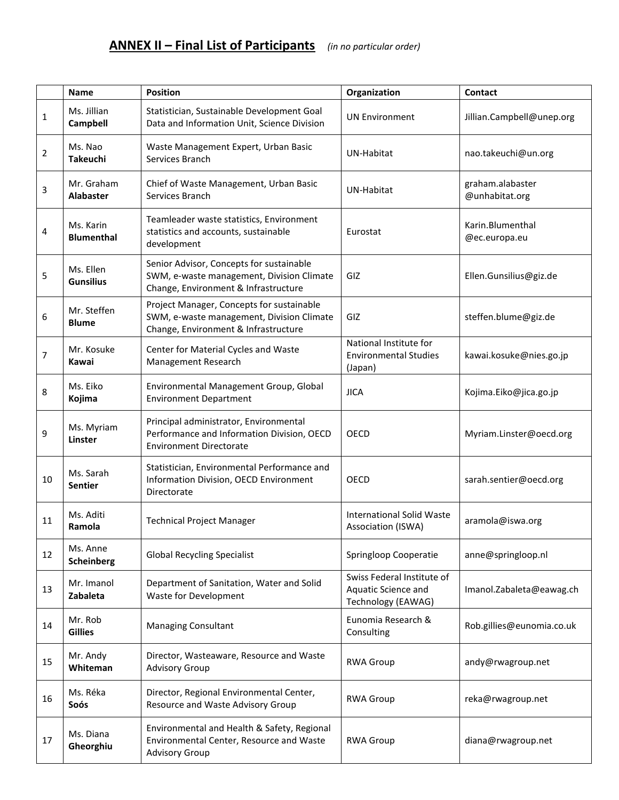|    | <b>Name</b>                    | <b>Position</b>                                                                                                                | Organization                                                            | <b>Contact</b>                     |
|----|--------------------------------|--------------------------------------------------------------------------------------------------------------------------------|-------------------------------------------------------------------------|------------------------------------|
| 1  | Ms. Jillian<br>Campbell        | Statistician, Sustainable Development Goal<br>Data and Information Unit, Science Division                                      | <b>UN Environment</b>                                                   | Jillian.Campbell@unep.org          |
| 2  | Ms. Nao<br><b>Takeuchi</b>     | Waste Management Expert, Urban Basic<br>Services Branch                                                                        | <b>UN-Habitat</b>                                                       | nao.takeuchi@un.org                |
| 3  | Mr. Graham<br><b>Alabaster</b> | Chief of Waste Management, Urban Basic<br>Services Branch                                                                      | UN-Habitat                                                              | graham.alabaster<br>@unhabitat.org |
| 4  | Ms. Karin<br><b>Blumenthal</b> | Teamleader waste statistics, Environment<br>statistics and accounts, sustainable<br>development                                | Eurostat                                                                | Karin.Blumenthal<br>@ec.europa.eu  |
| 5  | Ms. Ellen<br><b>Gunsilius</b>  | Senior Advisor, Concepts for sustainable<br>SWM, e-waste management, Division Climate<br>Change, Environment & Infrastructure  | GIZ                                                                     | Ellen.Gunsilius@giz.de             |
| 6  | Mr. Steffen<br><b>Blume</b>    | Project Manager, Concepts for sustainable<br>SWM, e-waste management, Division Climate<br>Change, Environment & Infrastructure | GIZ                                                                     | steffen.blume@giz.de               |
| 7  | Mr. Kosuke<br>Kawai            | Center for Material Cycles and Waste<br>Management Research                                                                    | National Institute for<br><b>Environmental Studies</b><br>(Japan)       | kawai.kosuke@nies.go.jp            |
| 8  | Ms. Eiko<br>Kojima             | Environmental Management Group, Global<br><b>Environment Department</b>                                                        | <b>JICA</b>                                                             | Kojima.Eiko@jica.go.jp             |
| 9  | Ms. Myriam<br>Linster          | Principal administrator, Environmental<br>Performance and Information Division, OECD<br><b>Environment Directorate</b>         | OECD                                                                    | Myriam.Linster@oecd.org            |
| 10 | Ms. Sarah<br><b>Sentier</b>    | Statistician, Environmental Performance and<br>Information Division, OECD Environment<br>Directorate                           | OECD                                                                    | sarah.sentier@oecd.org             |
| 11 | Ms. Aditi<br>Ramola            | <b>Technical Project Manager</b>                                                                                               | <b>International Solid Waste</b><br>Association (ISWA)                  | aramola@iswa.org                   |
| 12 | Ms. Anne<br><b>Scheinberg</b>  | <b>Global Recycling Specialist</b>                                                                                             | Springloop Cooperatie                                                   | anne@springloop.nl                 |
| 13 | Mr. Imanol<br>Zabaleta         | Department of Sanitation, Water and Solid<br><b>Waste for Development</b>                                                      | Swiss Federal Institute of<br>Aquatic Science and<br>Technology (EAWAG) | Imanol.Zabaleta@eawag.ch           |
| 14 | Mr. Rob<br><b>Gillies</b>      | <b>Managing Consultant</b>                                                                                                     | Eunomia Research &<br>Consulting                                        | Rob.gillies@eunomia.co.uk          |
| 15 | Mr. Andy<br>Whiteman           | Director, Wasteaware, Resource and Waste<br><b>Advisory Group</b>                                                              | <b>RWA Group</b>                                                        | andy@rwagroup.net                  |
| 16 | Ms. Réka<br>Soós               | Director, Regional Environmental Center,<br>Resource and Waste Advisory Group                                                  | <b>RWA Group</b>                                                        | reka@rwagroup.net                  |
| 17 | Ms. Diana<br>Gheorghiu         | Environmental and Health & Safety, Regional<br>Environmental Center, Resource and Waste<br><b>Advisory Group</b>               | <b>RWA Group</b>                                                        | diana@rwagroup.net                 |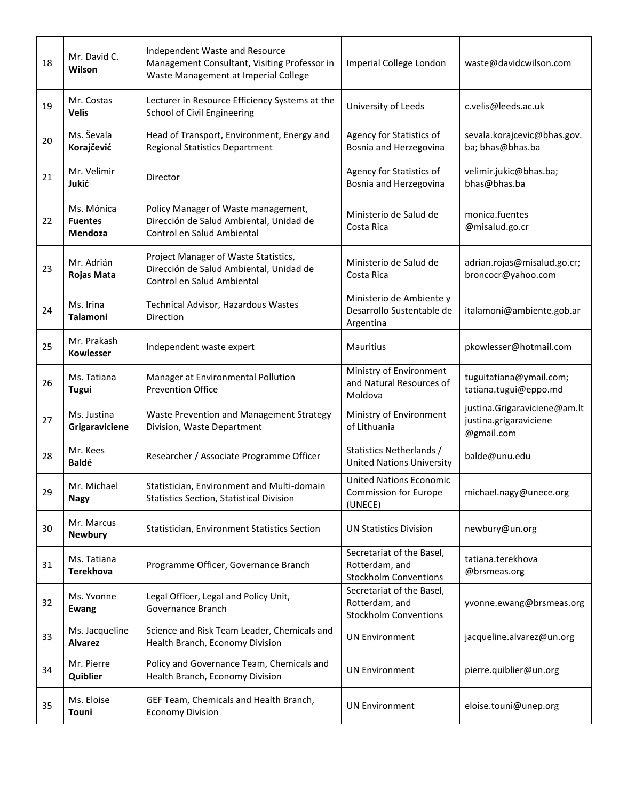| 18 | Mr. David C.<br>Wilson                  | Independent Waste and Resource<br>Management Consultant, Visiting Professor in<br>Waste Management at Imperial College | Imperial College London                                                     | waste@davidcwilson.com                                               |
|----|-----------------------------------------|------------------------------------------------------------------------------------------------------------------------|-----------------------------------------------------------------------------|----------------------------------------------------------------------|
| 19 | Mr. Costas<br><b>Velis</b>              | Lecturer in Resource Efficiency Systems at the<br>School of Civil Engineering                                          | University of Leeds                                                         | c.velis@leeds.ac.uk                                                  |
| 20 | Ms. Ševala<br>Korajčević                | Head of Transport, Environment, Energy and<br><b>Regional Statistics Department</b>                                    | Agency for Statistics of<br>Bosnia and Herzegovina                          | sevala.korajcevic@bhas.gov.<br>ba; bhas@bhas.ba                      |
| 21 | Mr. Velimir<br>Jukić                    | Director                                                                                                               | Agency for Statistics of<br>Bosnia and Herzegovina                          | velimir.jukic@bhas.ba;<br>bhas@bhas.ba                               |
| 22 | Ms. Mónica<br><b>Fuentes</b><br>Mendoza | Policy Manager of Waste management,<br>Dirección de Salud Ambiental, Unidad de<br>Control en Salud Ambiental           | Ministerio de Salud de<br>Costa Rica                                        | monica.fuentes<br>@misalud.go.cr                                     |
| 23 | Mr. Adrián<br>Rojas Mata                | Project Manager of Waste Statistics,<br>Dirección de Salud Ambiental, Unidad de<br>Control en Salud Ambiental          | Ministerio de Salud de<br>Costa Rica                                        | adrian.rojas@misalud.go.cr;<br>broncocr@yahoo.com                    |
| 24 | Ms. Irina<br><b>Talamoni</b>            | Technical Advisor, Hazardous Wastes<br>Direction                                                                       | Ministerio de Ambiente y<br>Desarrollo Sustentable de<br>Argentina          | italamoni@ambiente.gob.ar                                            |
| 25 | Mr. Prakash<br><b>Kowlesser</b>         | Independent waste expert                                                                                               | Mauritius                                                                   | pkowlesser@hotmail.com                                               |
| 26 | Ms. Tatiana<br>Tugui                    | Manager at Environmental Pollution<br><b>Prevention Office</b>                                                         | Ministry of Environment<br>and Natural Resources of<br>Moldova              | tuguitatiana@ymail.com;<br>tatiana.tugui@eppo.md                     |
| 27 | Ms. Justina<br>Grigaraviciene           | Waste Prevention and Management Strategy<br>Division, Waste Department                                                 | Ministry of Environment<br>of Lithuania                                     | justina.Grigaraviciene@am.lt<br>justina.grigaraviciene<br>@gmail.com |
| 28 | Mr. Kees<br><b>Baldé</b>                | Researcher / Associate Programme Officer                                                                               | Statistics Netherlands /<br><b>United Nations University</b>                | balde@unu.edu                                                        |
| 29 | Mr. Michael<br><b>Nagy</b>              | Statistician, Environment and Multi-domain<br><b>Statistics Section, Statistical Division</b>                          | <b>United Nations Economic</b><br><b>Commission for Europe</b><br>(UNECE)   | michael.nagy@unece.org                                               |
| 30 | Mr. Marcus<br><b>Newbury</b>            | Statistician, Environment Statistics Section                                                                           | <b>UN Statistics Division</b>                                               | newbury@un.org                                                       |
| 31 | Ms. Tatiana<br><b>Terekhova</b>         | Programme Officer, Governance Branch                                                                                   | Secretariat of the Basel,<br>Rotterdam, and<br><b>Stockholm Conventions</b> | tatiana.terekhova<br>@brsmeas.org                                    |
| 32 | Ms. Yvonne<br><b>Ewang</b>              | Legal Officer, Legal and Policy Unit,<br>Governance Branch                                                             | Secretariat of the Basel,<br>Rotterdam, and<br><b>Stockholm Conventions</b> | yvonne.ewang@brsmeas.org                                             |
| 33 | Ms. Jacqueline<br><b>Alvarez</b>        | Science and Risk Team Leader, Chemicals and<br>Health Branch, Economy Division                                         | <b>UN Environment</b>                                                       | jacqueline.alvarez@un.org                                            |
| 34 | Mr. Pierre<br>Quiblier                  | Policy and Governance Team, Chemicals and<br>Health Branch, Economy Division                                           | <b>UN Environment</b>                                                       | pierre.quiblier@un.org                                               |
| 35 | Ms. Eloise<br>Touni                     | GEF Team, Chemicals and Health Branch,<br><b>Economy Division</b>                                                      | <b>UN Environment</b>                                                       | eloise.touni@unep.org                                                |